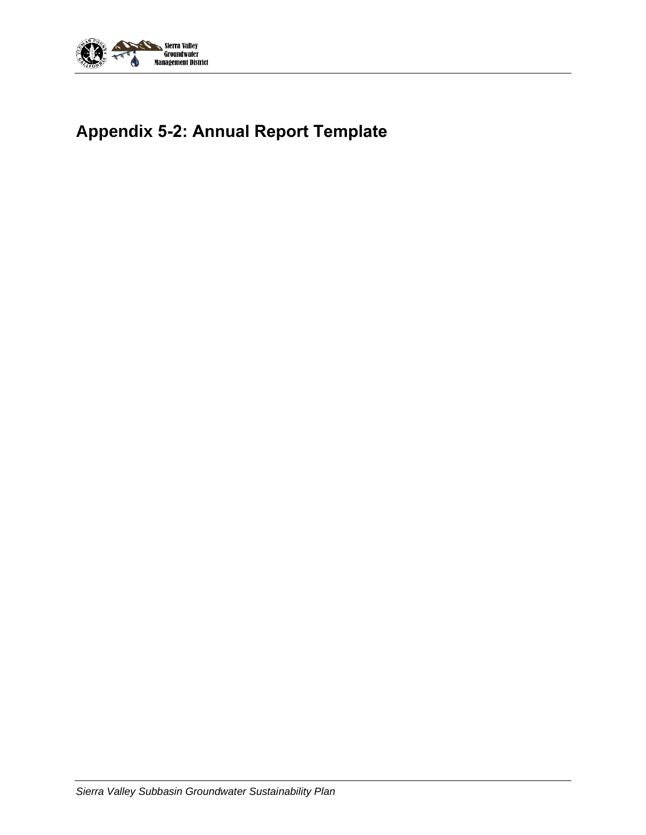

# **Appendix 5-2: Annual Report Template**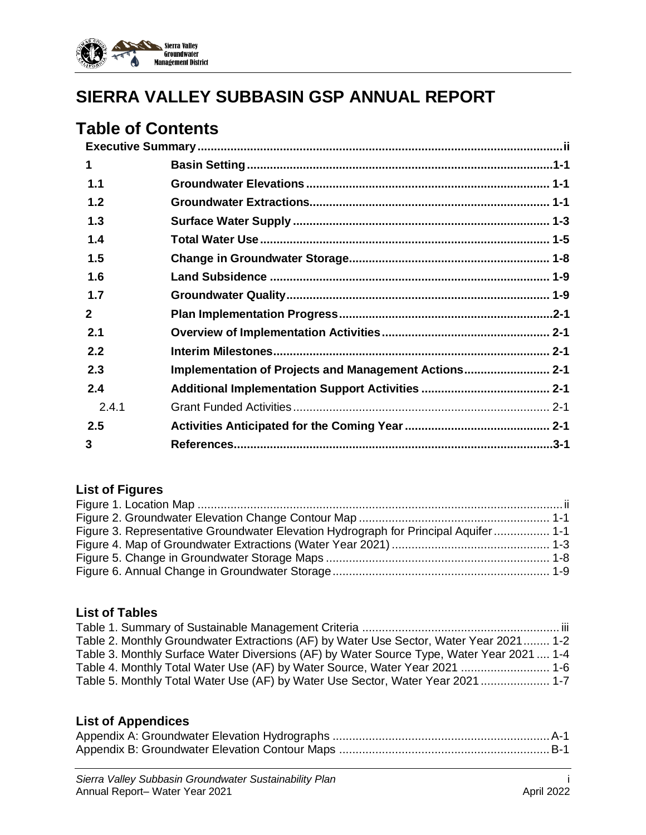

# **SIERRA VALLEY SUBBASIN GSP ANNUAL REPORT**

## **Table of Contents**

| 1              |                                                       |  |
|----------------|-------------------------------------------------------|--|
| 1.1            |                                                       |  |
| 1.2            |                                                       |  |
| 1.3            |                                                       |  |
| 1.4            |                                                       |  |
| 1.5            |                                                       |  |
| 1.6            |                                                       |  |
| 1.7            |                                                       |  |
| $\overline{2}$ |                                                       |  |
| 2.1            |                                                       |  |
| 2.2            |                                                       |  |
| 2.3            | Implementation of Projects and Management Actions 2-1 |  |
| 2.4            |                                                       |  |
| 2.4.1          |                                                       |  |
| 2.5            |                                                       |  |
| 3              |                                                       |  |

## **List of Figures**

| Figure 3. Representative Groundwater Elevation Hydrograph for Principal Aquifer 1-1 |  |
|-------------------------------------------------------------------------------------|--|
|                                                                                     |  |
|                                                                                     |  |
|                                                                                     |  |

### **List of Tables**

| Table 2. Monthly Groundwater Extractions (AF) by Water Use Sector, Water Year 2021 1-2    |  |
|-------------------------------------------------------------------------------------------|--|
| Table 3. Monthly Surface Water Diversions (AF) by Water Source Type, Water Year 2021  1-4 |  |
| Table 4. Monthly Total Water Use (AF) by Water Source, Water Year 2021  1-6               |  |
| Table 5. Monthly Total Water Use (AF) by Water Use Sector, Water Year 2021  1-7           |  |

### **List of Appendices**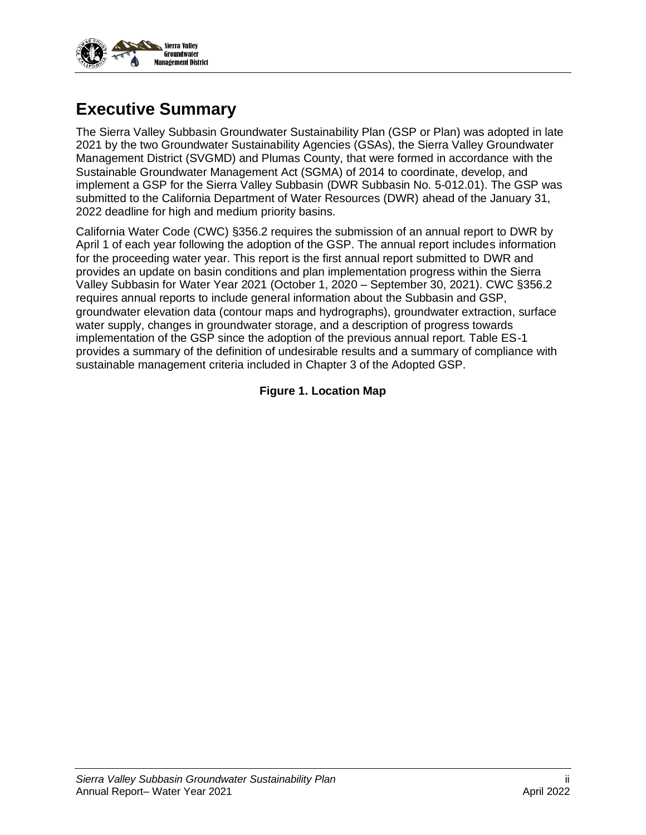

## <span id="page-2-0"></span>**Executive Summary**

The Sierra Valley Subbasin Groundwater Sustainability Plan (GSP or Plan) was adopted in late 2021 by the two Groundwater Sustainability Agencies (GSAs), the Sierra Valley Groundwater Management District (SVGMD) and Plumas County, that were formed in accordance with the Sustainable Groundwater Management Act (SGMA) of 2014 to coordinate, develop, and implement a GSP for the Sierra Valley Subbasin (DWR Subbasin No. 5-012.01). The GSP was submitted to the California Department of Water Resources (DWR) ahead of the January 31, 2022 deadline for high and medium priority basins.

<span id="page-2-1"></span>California Water Code (CWC) §356.2 requires the submission of an annual report to DWR by April 1 of each year following the adoption of the GSP. The annual report includes information for the proceeding water year. This report is the first annual report submitted to DWR and provides an update on basin conditions and plan implementation progress within the Sierra Valley Subbasin for Water Year 2021 (October 1, 2020 – September 30, 2021). CWC §356.2 requires annual reports to include general information about the Subbasin and GSP, groundwater elevation data (contour maps and hydrographs), groundwater extraction, surface water supply, changes in groundwater storage, and a description of progress towards implementation of the GSP since the adoption of the previous annual report. Table ES-1 provides a summary of the definition of undesirable results and a summary of compliance with sustainable management criteria included in Chapter 3 of the Adopted GSP.

#### **Figure 1. Location Map**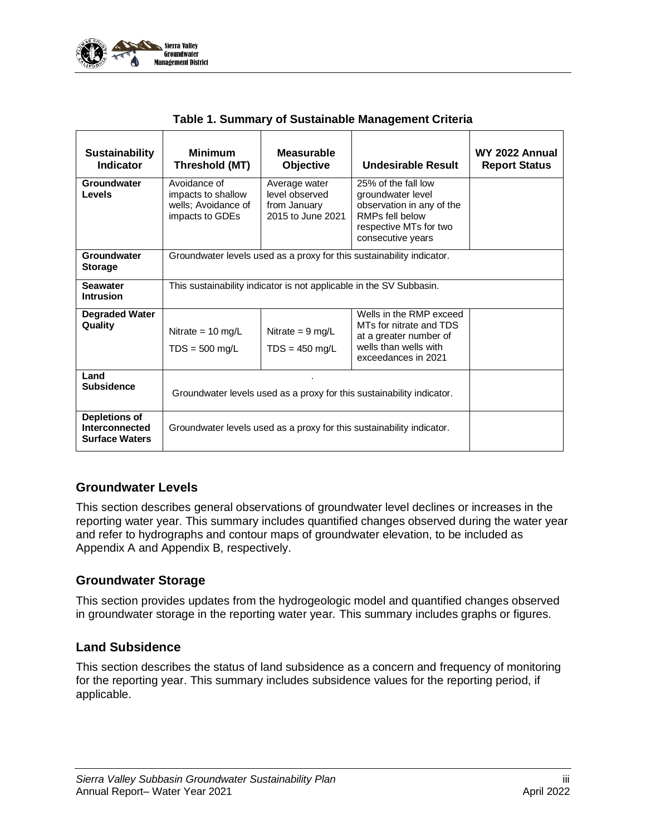

<span id="page-3-0"></span>

| <b>Sustainability</b><br>Indicator                              | <b>Minimum</b><br>Threshold (MT)                                             | <b>Measurable</b><br><b>Objective</b>                                                                                                                                                                           | Undesirable Result                                                    | WY 2022 Annual<br><b>Report Status</b> |  |  |
|-----------------------------------------------------------------|------------------------------------------------------------------------------|-----------------------------------------------------------------------------------------------------------------------------------------------------------------------------------------------------------------|-----------------------------------------------------------------------|----------------------------------------|--|--|
| Groundwater<br>Levels                                           | Avoidance of<br>impacts to shallow<br>wells; Avoidance of<br>impacts to GDEs | 25% of the fall low<br>Average water<br>level observed<br>groundwater level<br>observation in any of the<br>from January<br>RMPs fell below<br>2015 to June 2021<br>respective MTs for two<br>consecutive years |                                                                       |                                        |  |  |
| Groundwater<br><b>Storage</b>                                   |                                                                              |                                                                                                                                                                                                                 | Groundwater levels used as a proxy for this sustainability indicator. |                                        |  |  |
| <b>Seawater</b><br><b>Intrusion</b>                             | This sustainability indicator is not applicable in the SV Subbasin.          |                                                                                                                                                                                                                 |                                                                       |                                        |  |  |
| <b>Degraded Water</b><br>Quality                                | Nitrate = $10 \text{ mg/L}$<br>$TDS = 500$ mg/L                              | Nitrate = $9 \text{ mg/L}$<br>$TDS = 450$ mg/L                                                                                                                                                                  |                                                                       |                                        |  |  |
| Land<br><b>Subsidence</b>                                       | Groundwater levels used as a proxy for this sustainability indicator.        |                                                                                                                                                                                                                 |                                                                       |                                        |  |  |
| <b>Depletions of</b><br>Interconnected<br><b>Surface Waters</b> |                                                                              |                                                                                                                                                                                                                 | Groundwater levels used as a proxy for this sustainability indicator. |                                        |  |  |

| Table 1. Summary of Sustainable Management Criteria |  |  |  |
|-----------------------------------------------------|--|--|--|
|-----------------------------------------------------|--|--|--|

#### **Groundwater Levels**

This section describes general observations of groundwater level declines or increases in the reporting water year. This summary includes quantified changes observed during the water year and refer to hydrographs and contour maps of groundwater elevation, to be included as Appendix A and Appendix B, respectively.

#### **Groundwater Storage**

This section provides updates from the hydrogeologic model and quantified changes observed in groundwater storage in the reporting water year. This summary includes graphs or figures.

#### **Land Subsidence**

This section describes the status of land subsidence as a concern and frequency of monitoring for the reporting year. This summary includes subsidence values for the reporting period, if applicable.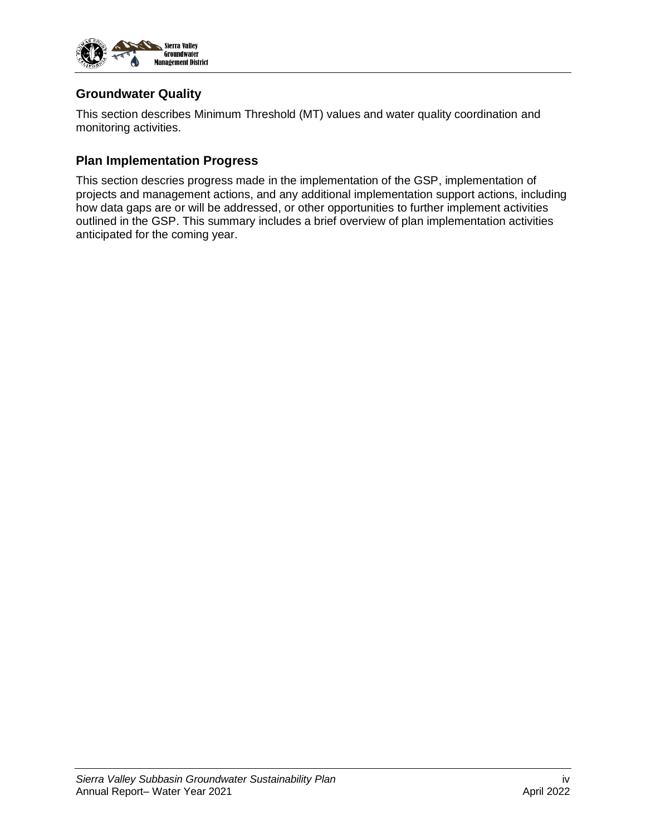

#### **Groundwater Quality**

This section describes Minimum Threshold (MT) values and water quality coordination and monitoring activities.

#### **Plan Implementation Progress**

This section descries progress made in the implementation of the GSP, implementation of projects and management actions, and any additional implementation support actions, including how data gaps are or will be addressed, or other opportunities to further implement activities outlined in the GSP. This summary includes a brief overview of plan implementation activities anticipated for the coming year.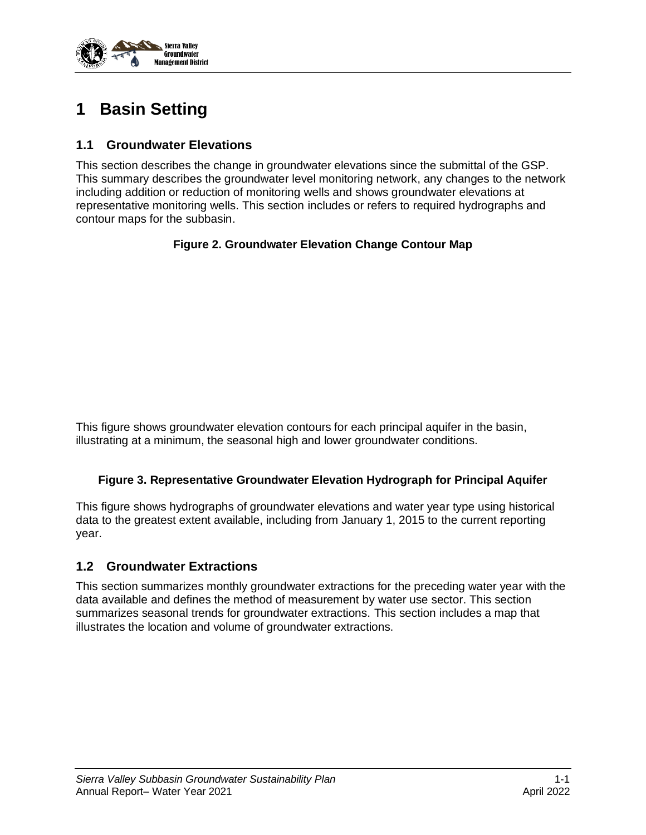

# <span id="page-5-0"></span>**1 Basin Setting**

### <span id="page-5-1"></span>**1.1 Groundwater Elevations**

<span id="page-5-3"></span>This section describes the change in groundwater elevations since the submittal of the GSP. This summary describes the groundwater level monitoring network, any changes to the network including addition or reduction of monitoring wells and shows groundwater elevations at representative monitoring wells. This section includes or refers to required hydrographs and contour maps for the subbasin.

#### **Figure 2. Groundwater Elevation Change Contour Map**

This figure shows groundwater elevation contours for each principal aquifer in the basin, illustrating at a minimum, the seasonal high and lower groundwater conditions.

#### <span id="page-5-4"></span>**Figure 3. Representative Groundwater Elevation Hydrograph for Principal Aquifer**

This figure shows hydrographs of groundwater elevations and water year type using historical data to the greatest extent available, including from January 1, 2015 to the current reporting year.

#### <span id="page-5-2"></span>**1.2 Groundwater Extractions**

This section summarizes monthly groundwater extractions for the preceding water year with the data available and defines the method of measurement by water use sector. This section summarizes seasonal trends for groundwater extractions. This section includes a map that illustrates the location and volume of groundwater extractions.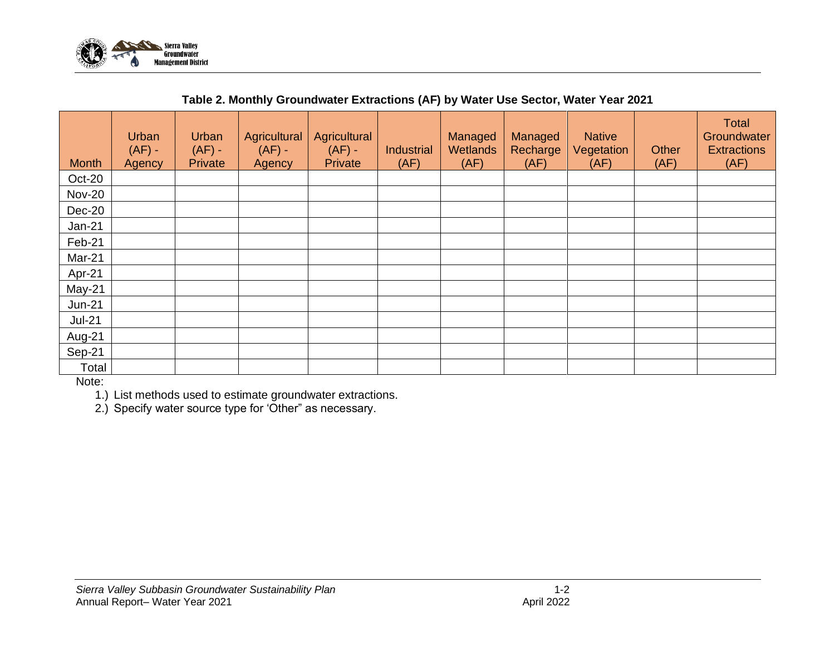

|  | Table 2. Monthly Groundwater Extractions (AF) by Water Use Sector, Water Year 2021 |
|--|------------------------------------------------------------------------------------|
|--|------------------------------------------------------------------------------------|

| <b>Month</b>  | Urban<br>$(AF) -$<br>Agency | Urban<br>$(AF) -$<br>Private | Agricultural<br>$(AF) -$<br>Agency | Agricultural<br>$(AF) -$<br>Private | Industrial<br>(AF) | Managed<br>Wetlands<br>(AF) | Managed<br>Recharge<br>(AF) | <b>Native</b><br>Vegetation<br>(AF) | Other<br>(AF) | <b>Total</b><br>Groundwater<br><b>Extractions</b><br>(AF) |
|---------------|-----------------------------|------------------------------|------------------------------------|-------------------------------------|--------------------|-----------------------------|-----------------------------|-------------------------------------|---------------|-----------------------------------------------------------|
| Oct-20        |                             |                              |                                    |                                     |                    |                             |                             |                                     |               |                                                           |
| <b>Nov-20</b> |                             |                              |                                    |                                     |                    |                             |                             |                                     |               |                                                           |
| Dec-20        |                             |                              |                                    |                                     |                    |                             |                             |                                     |               |                                                           |
| $Jan-21$      |                             |                              |                                    |                                     |                    |                             |                             |                                     |               |                                                           |
| Feb-21        |                             |                              |                                    |                                     |                    |                             |                             |                                     |               |                                                           |
| Mar-21        |                             |                              |                                    |                                     |                    |                             |                             |                                     |               |                                                           |
| Apr-21        |                             |                              |                                    |                                     |                    |                             |                             |                                     |               |                                                           |
| May-21        |                             |                              |                                    |                                     |                    |                             |                             |                                     |               |                                                           |
| <b>Jun-21</b> |                             |                              |                                    |                                     |                    |                             |                             |                                     |               |                                                           |
| $Jul-21$      |                             |                              |                                    |                                     |                    |                             |                             |                                     |               |                                                           |
| Aug-21        |                             |                              |                                    |                                     |                    |                             |                             |                                     |               |                                                           |
| Sep-21        |                             |                              |                                    |                                     |                    |                             |                             |                                     |               |                                                           |
| Total         |                             |                              |                                    |                                     |                    |                             |                             |                                     |               |                                                           |

<span id="page-6-0"></span>Note:

1.) List methods used to estimate groundwater extractions.

2.) Specify water source type for 'Other" as necessary.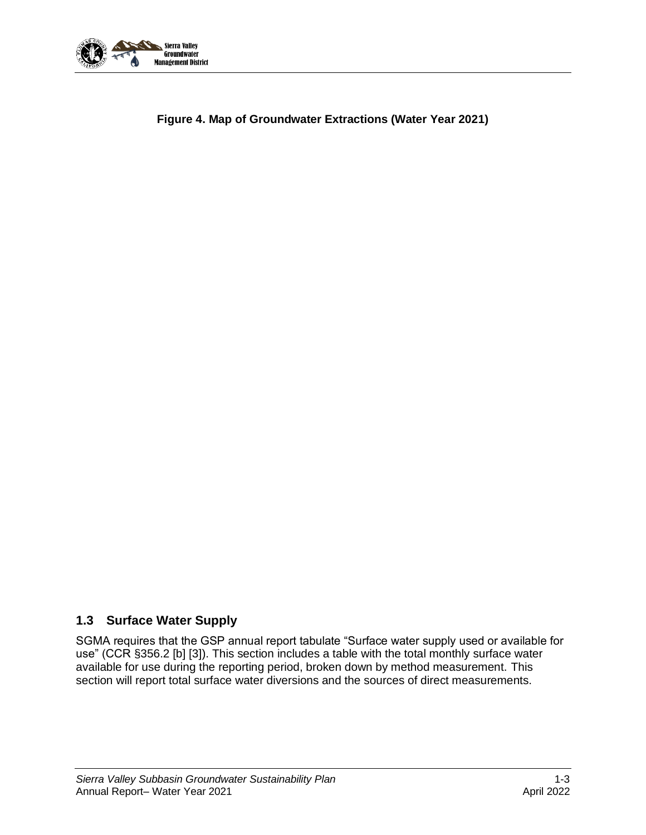

<span id="page-7-1"></span>

#### <span id="page-7-0"></span>**1.3 Surface Water Supply**

SGMA requires that the GSP annual report tabulate "Surface water supply used or available for use" (CCR §356.2 [b] [3]). This section includes a table with the total monthly surface water available for use during the reporting period, broken down by method measurement. This section will report total surface water diversions and the sources of direct measurements.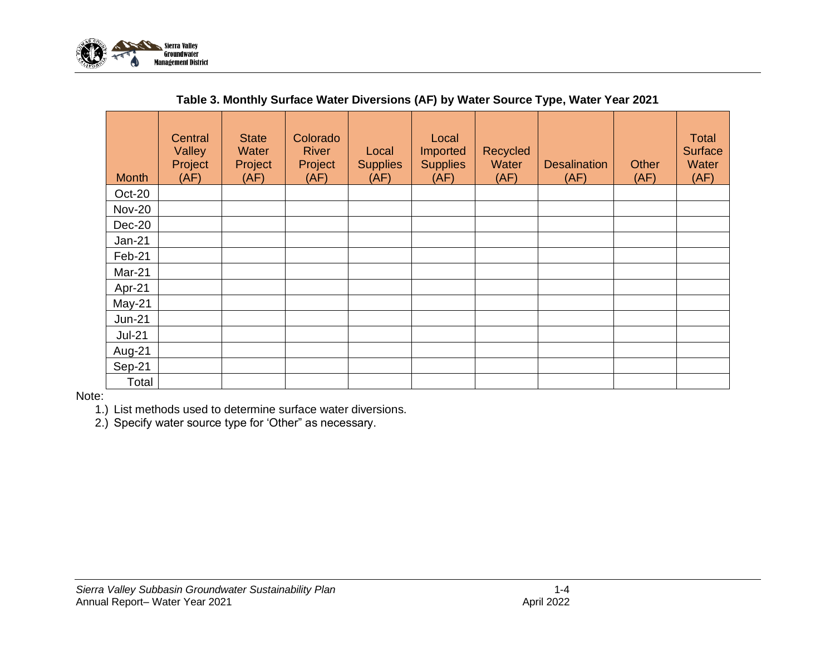

| <b>Month</b>  | <b>Central</b><br>Valley<br>Project<br>(AF) | <b>State</b><br>Water<br>Project<br>(AF) | Colorado<br><b>River</b><br>Project<br>(AF) | Local<br><b>Supplies</b><br>(AF) | Local<br>Imported<br><b>Supplies</b><br>(AF) | Recycled<br>Water<br>(AF) | <b>Desalination</b><br>(AF) | Other<br>(AF) | <b>Total</b><br>Surface<br><b>Water</b><br>(AF) |
|---------------|---------------------------------------------|------------------------------------------|---------------------------------------------|----------------------------------|----------------------------------------------|---------------------------|-----------------------------|---------------|-------------------------------------------------|
| Oct-20        |                                             |                                          |                                             |                                  |                                              |                           |                             |               |                                                 |
| <b>Nov-20</b> |                                             |                                          |                                             |                                  |                                              |                           |                             |               |                                                 |
| Dec-20        |                                             |                                          |                                             |                                  |                                              |                           |                             |               |                                                 |
| $Jan-21$      |                                             |                                          |                                             |                                  |                                              |                           |                             |               |                                                 |
| Feb-21        |                                             |                                          |                                             |                                  |                                              |                           |                             |               |                                                 |
| Mar-21        |                                             |                                          |                                             |                                  |                                              |                           |                             |               |                                                 |
| Apr-21        |                                             |                                          |                                             |                                  |                                              |                           |                             |               |                                                 |
| May-21        |                                             |                                          |                                             |                                  |                                              |                           |                             |               |                                                 |
| <b>Jun-21</b> |                                             |                                          |                                             |                                  |                                              |                           |                             |               |                                                 |
| $Jul-21$      |                                             |                                          |                                             |                                  |                                              |                           |                             |               |                                                 |
| Aug-21        |                                             |                                          |                                             |                                  |                                              |                           |                             |               |                                                 |
| Sep-21        |                                             |                                          |                                             |                                  |                                              |                           |                             |               |                                                 |
| Total         |                                             |                                          |                                             |                                  |                                              |                           |                             |               |                                                 |

#### **Table 3. Monthly Surface Water Diversions (AF) by Water Source Type, Water Year 2021**

<span id="page-8-0"></span>Note:

1.) List methods used to determine surface water diversions.

2.) Specify water source type for 'Other" as necessary.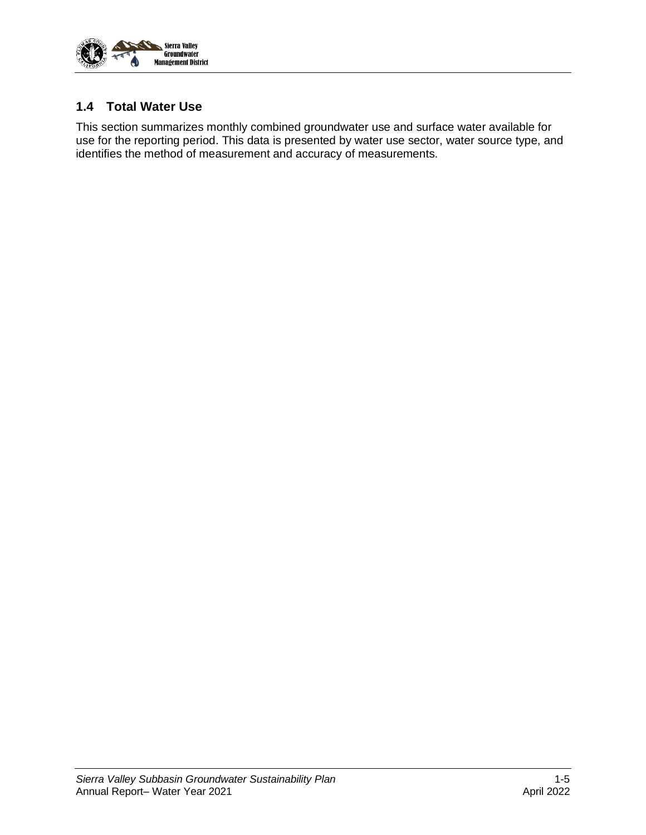

#### <span id="page-9-0"></span>**1.4 Total Water Use**

This section summarizes monthly combined groundwater use and surface water available for use for the reporting period. This data is presented by water use sector, water source type, and identifies the method of measurement and accuracy of measurements.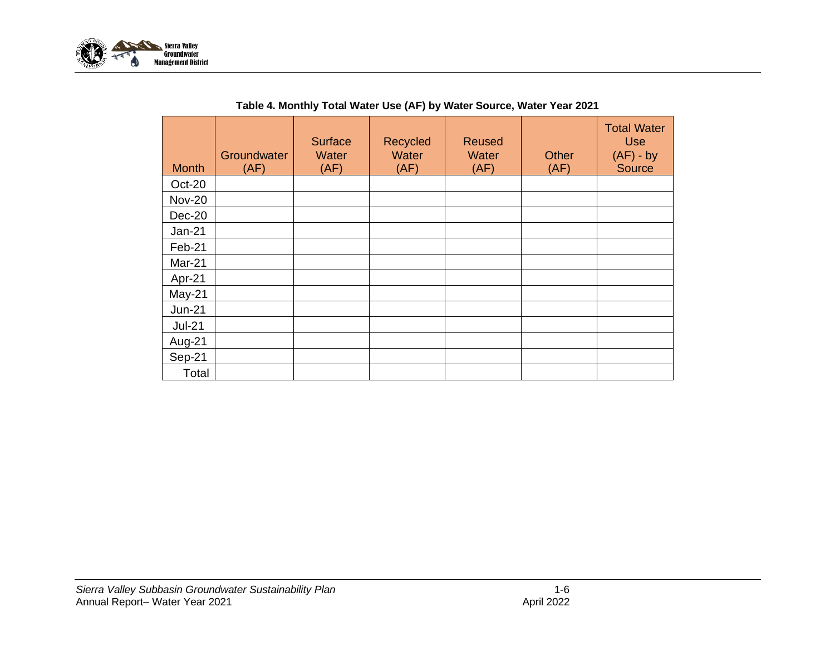

<span id="page-10-0"></span>

| <b>Month</b>  | Groundwater<br>(AF) | <b>Surface</b><br>Water<br>(AF) | Recycled<br>Water<br>(AF) | <b>Reused</b><br>Water<br>(AF) | <b>Other</b><br>(AF) | <b>Total Water</b><br><b>Use</b><br>$(AF) - by$<br>Source |
|---------------|---------------------|---------------------------------|---------------------------|--------------------------------|----------------------|-----------------------------------------------------------|
| Oct-20        |                     |                                 |                           |                                |                      |                                                           |
| <b>Nov-20</b> |                     |                                 |                           |                                |                      |                                                           |
| Dec-20        |                     |                                 |                           |                                |                      |                                                           |
| Jan-21        |                     |                                 |                           |                                |                      |                                                           |
| Feb-21        |                     |                                 |                           |                                |                      |                                                           |
| Mar-21        |                     |                                 |                           |                                |                      |                                                           |
| Apr-21        |                     |                                 |                           |                                |                      |                                                           |
| May-21        |                     |                                 |                           |                                |                      |                                                           |
| <b>Jun-21</b> |                     |                                 |                           |                                |                      |                                                           |
| <b>Jul-21</b> |                     |                                 |                           |                                |                      |                                                           |
| Aug-21        |                     |                                 |                           |                                |                      |                                                           |
| Sep-21        |                     |                                 |                           |                                |                      |                                                           |
| Total         |                     |                                 |                           |                                |                      |                                                           |

#### **Table 4. Monthly Total Water Use (AF) by Water Source, Water Year 2021**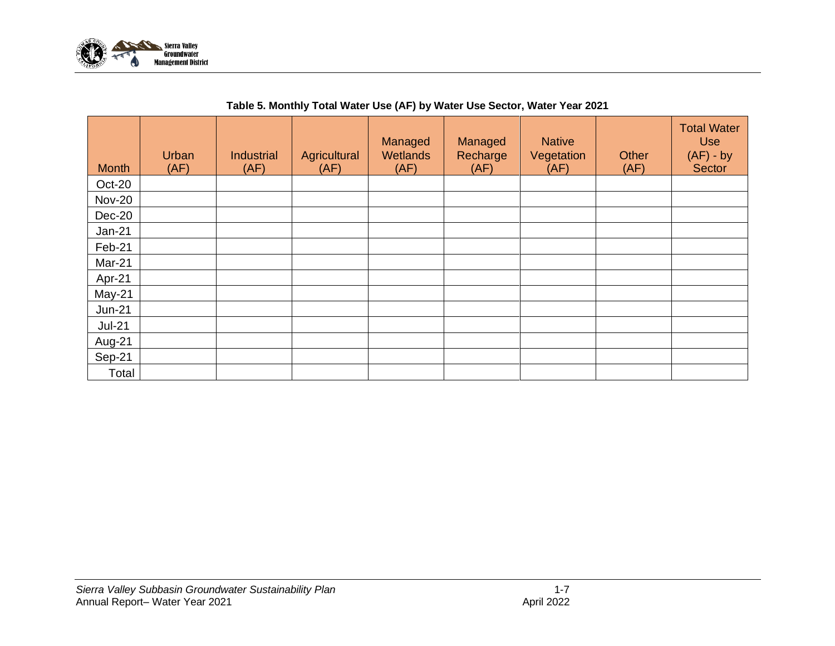

<span id="page-11-0"></span>

| <b>Month</b>  | Urban<br>(AF) | <b>Industrial</b><br>(AF) | Agricultural<br>(AF) | Managed<br>Wetlands<br>(AF) | Managed<br>Recharge<br>(AF) | <b>Native</b><br>Vegetation<br>(AF) | Other<br>(AF) | <b>Total Water</b><br><b>Use</b><br>$(AF) - by$<br><b>Sector</b> |
|---------------|---------------|---------------------------|----------------------|-----------------------------|-----------------------------|-------------------------------------|---------------|------------------------------------------------------------------|
| Oct-20        |               |                           |                      |                             |                             |                                     |               |                                                                  |
| <b>Nov-20</b> |               |                           |                      |                             |                             |                                     |               |                                                                  |
| Dec-20        |               |                           |                      |                             |                             |                                     |               |                                                                  |
| $Jan-21$      |               |                           |                      |                             |                             |                                     |               |                                                                  |
| Feb-21        |               |                           |                      |                             |                             |                                     |               |                                                                  |
| Mar-21        |               |                           |                      |                             |                             |                                     |               |                                                                  |
| Apr-21        |               |                           |                      |                             |                             |                                     |               |                                                                  |
| May-21        |               |                           |                      |                             |                             |                                     |               |                                                                  |
| $Jun-21$      |               |                           |                      |                             |                             |                                     |               |                                                                  |
| $Jul-21$      |               |                           |                      |                             |                             |                                     |               |                                                                  |
| Aug-21        |               |                           |                      |                             |                             |                                     |               |                                                                  |
| Sep-21        |               |                           |                      |                             |                             |                                     |               |                                                                  |
| Total         |               |                           |                      |                             |                             |                                     |               |                                                                  |

#### **Table 5. Monthly Total Water Use (AF) by Water Use Sector, Water Year 2021**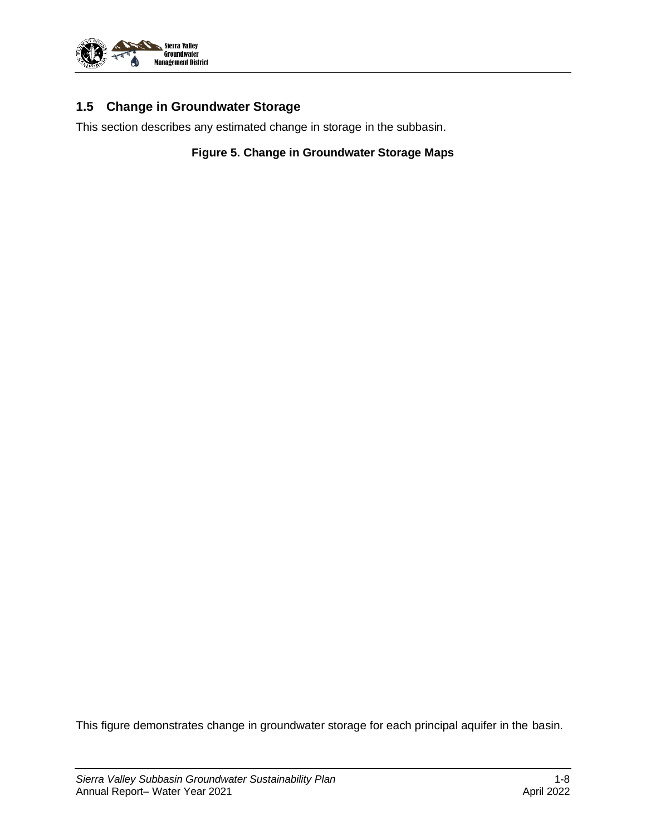

### <span id="page-12-0"></span>**1.5 Change in Groundwater Storage**

<span id="page-12-1"></span>This section describes any estimated change in storage in the subbasin.

**Figure 5. Change in Groundwater Storage Maps**

This figure demonstrates change in groundwater storage for each principal aquifer in the basin.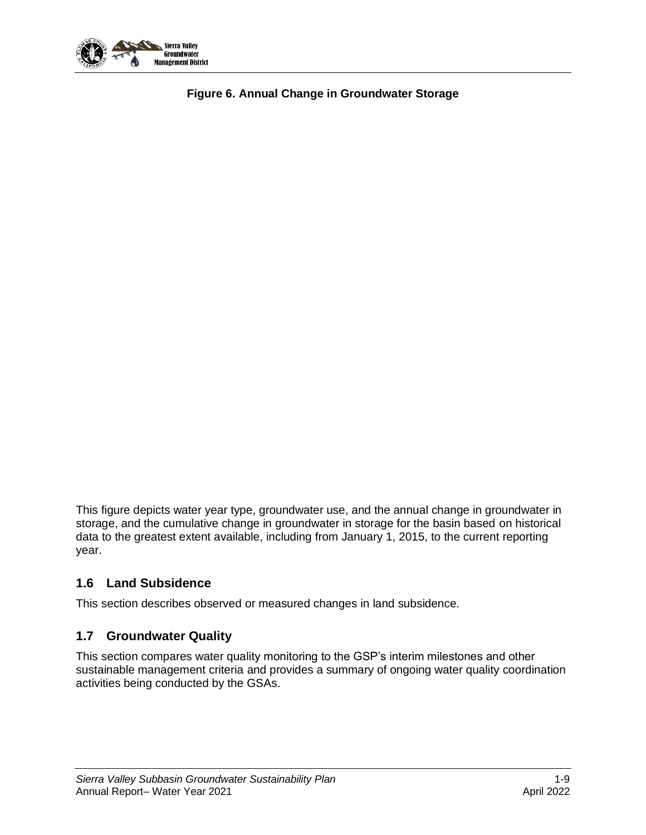<span id="page-13-2"></span>

**Figure 6. Annual Change in Groundwater Storage**

This figure depicts water year type, groundwater use, and the annual change in groundwater in storage, and the cumulative change in groundwater in storage for the basin based on historical data to the greatest extent available, including from January 1, 2015, to the current reporting year.

#### <span id="page-13-0"></span>**1.6 Land Subsidence**

This section describes observed or measured changes in land subsidence.

#### <span id="page-13-1"></span>**1.7 Groundwater Quality**

This section compares water quality monitoring to the GSP's interim milestones and other sustainable management criteria and provides a summary of ongoing water quality coordination activities being conducted by the GSAs.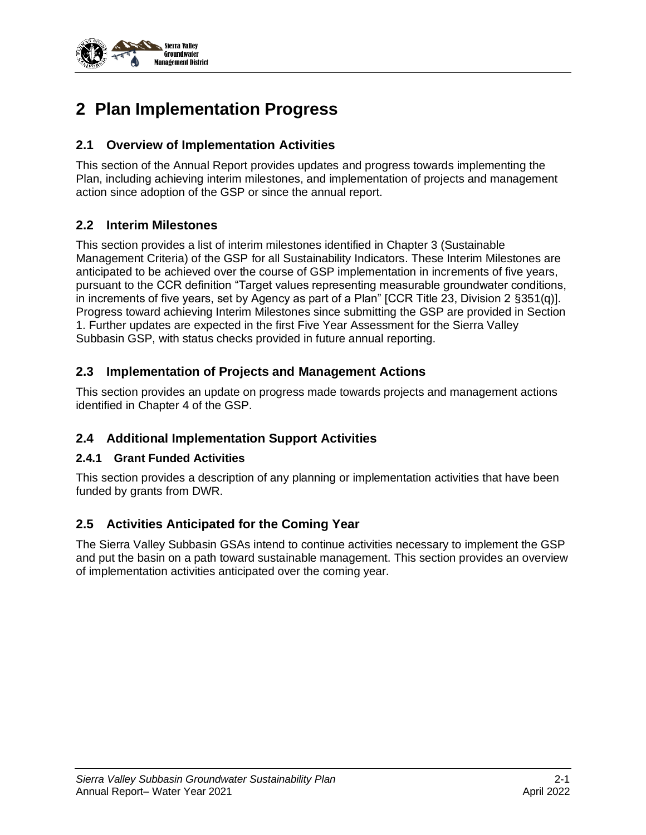

## <span id="page-14-0"></span>**2 Plan Implementation Progress**

#### <span id="page-14-1"></span>**2.1 Overview of Implementation Activities**

This section of the Annual Report provides updates and progress towards implementing the Plan, including achieving interim milestones, and implementation of projects and management action since adoption of the GSP or since the annual report.

#### <span id="page-14-2"></span>**2.2 Interim Milestones**

This section provides a list of interim milestones identified in Chapter 3 (Sustainable Management Criteria) of the GSP for all Sustainability Indicators. These Interim Milestones are anticipated to be achieved over the course of GSP implementation in increments of five years, pursuant to the CCR definition "Target values representing measurable groundwater conditions, in increments of five years, set by Agency as part of a Plan" [CCR Title 23, Division 2 §351(q)]. Progress toward achieving Interim Milestones since submitting the GSP are provided in Section 1. Further updates are expected in the first Five Year Assessment for the Sierra Valley Subbasin GSP, with status checks provided in future annual reporting.

#### <span id="page-14-3"></span>**2.3 Implementation of Projects and Management Actions**

This section provides an update on progress made towards projects and management actions identified in Chapter 4 of the GSP.

#### <span id="page-14-4"></span>**2.4 Additional Implementation Support Activities**

#### <span id="page-14-5"></span>**2.4.1 Grant Funded Activities**

This section provides a description of any planning or implementation activities that have been funded by grants from DWR.

#### <span id="page-14-6"></span>**2.5 Activities Anticipated for the Coming Year**

The Sierra Valley Subbasin GSAs intend to continue activities necessary to implement the GSP and put the basin on a path toward sustainable management. This section provides an overview of implementation activities anticipated over the coming year.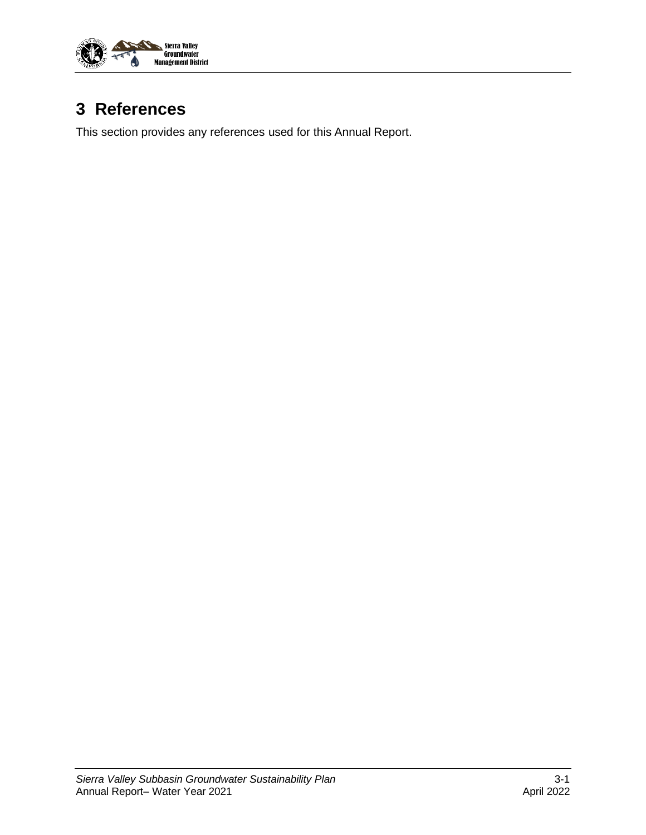

## <span id="page-15-0"></span>**3 References**

This section provides any references used for this Annual Report.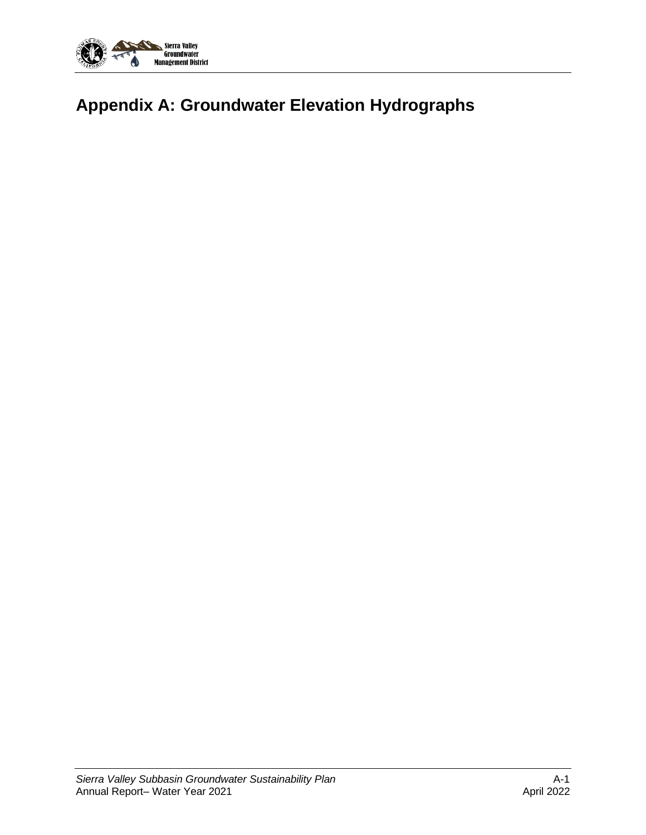

# <span id="page-16-0"></span>**Appendix A: Groundwater Elevation Hydrographs**